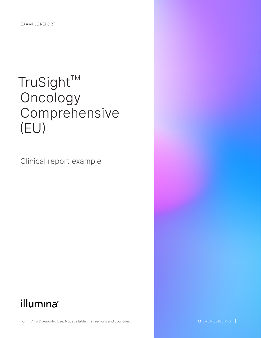# $TruSight^{TM}$ Oncology Comprehensive (EU)

Clinical report example

## illumina®

For *In Vitro* Diagnostic Use. Not available in all regions and countries.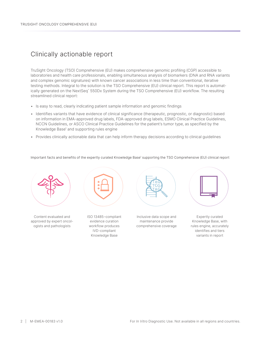### Clinically actionable report

TruSight Oncology (TSO) Comprehensive (EU) makes comprehensive genomic profiling (CGP) accessible to laboratories and health care professionals, enabling simultaneous analysis of biomarkers (DNA and RNA variants and complex genomic signatures) with known cancer associations in less time than conventional, iterative testing methods. Integral to the solution is the TSO Comprehensive (EU) clinical report. This report is automatically generated on the NextSeq™ 550Dx System during the TSO Comprehensive (EU) workflow. The resulting streamlined clinical report:

- Is easy to read, clearly indicating patient sample information and genomic findings
- Identifies variants that have evidence of clinical significance (therapeutic, prognostic, or diagnostic) based on information in EMA-approved drug labels, FDA-approved drug labels, ESMO Clinical Practice Guidelines, NCCN Guidelines, or ASCO Clinical Practice Guidelines for the patient's tumor type, as specified by the Knowledge Base<sup>[1](#page-3-0)</sup> and supporting rules engine
- Provides clinically actionable data that can help inform therapy decisions according to clinical guidelines

lmportant facts and benefits of the expertly curated Knowledge Base' supporting the TSO Comprehensive (EU) clinical report



Content evaluated and approved by expert oncologists and pathologists



ISO 13485–compliant evidence curation workflow produces IVD-compliant Knowledge Base



Inclusive data scope and maintenance provide comprehensive coverage



Expertly curated Knowledge Base, with rules engine, accurately identifies and tiers variants in report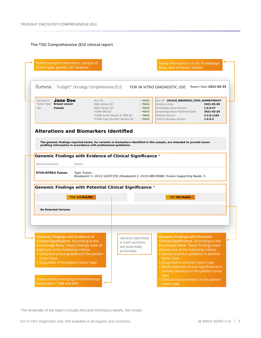#### The TSO Comprehensive (EU) clinical report



The remainder of the report includes test and informatics details. Not shown.